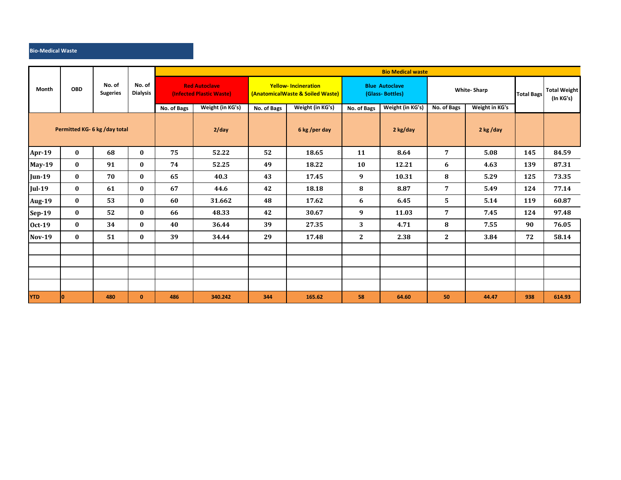## **Bio-Medical Waste**

| Month                         | <b>OBD</b> | No. of<br><b>Sugeries</b> | No. of<br><b>Dialysis</b> | <b>Bio Medical waste</b>                         |                  |                                                                |                  |                                          |                  |                    |                |                   |                                  |  |
|-------------------------------|------------|---------------------------|---------------------------|--------------------------------------------------|------------------|----------------------------------------------------------------|------------------|------------------------------------------|------------------|--------------------|----------------|-------------------|----------------------------------|--|
|                               |            |                           |                           | <b>Red Autoclave</b><br>(Infected Plastic Waste) |                  | <b>Yellow-Incineration</b><br>(AnatomicalWaste & Soiled Waste) |                  | <b>Blue Autoclave</b><br>(Glass-Bottles) |                  | <b>White-Sharp</b> |                | <b>Total Bags</b> | <b>Total Weight</b><br>(In KG's) |  |
|                               |            |                           |                           | No. of Bags                                      | Weight (in KG's) | No. of Bags                                                    | Weight (in KG's) | No. of Bags                              | Weight (in KG's) | No. of Bags        | Weight in KG's |                   |                                  |  |
| Permitted KG- 6 kg /day total |            |                           |                           |                                                  | $2$ /day         |                                                                | 6 kg /per day    |                                          | 2 kg/day         |                    | 2 kg/day       |                   |                                  |  |
| Apr-19                        | $\bf{0}$   | 68                        | $\bf{0}$                  | 75                                               | 52.22            | 52                                                             | 18.65            | 11                                       | 8.64             | 7                  | 5.08           | 145               | 84.59                            |  |
| <b>May-19</b>                 | $\bf{0}$   | 91                        | $\bf{0}$                  | 74                                               | 52.25            | 49                                                             | 18.22            | 10                                       | 12.21            | 6                  | 4.63           | 139               | 87.31                            |  |
| <b>Jun-19</b>                 | $\bf{0}$   | 70                        | $\bf{0}$                  | 65                                               | 40.3             | 43                                                             | 17.45            | 9                                        | 10.31            | 8                  | 5.29           | 125               | 73.35                            |  |
| <b>Jul-19</b>                 | $\bf{0}$   | 61                        | $\bf{0}$                  | 67                                               | 44.6             | 42                                                             | 18.18            | 8                                        | 8.87             | 7                  | 5.49           | 124               | 77.14                            |  |
| <b>Aug-19</b>                 | $\bf{0}$   | 53                        | $\bf{0}$                  | 60                                               | 31.662           | 48                                                             | 17.62            | 6                                        | 6.45             | 5                  | 5.14           | 119               | 60.87                            |  |
| Sep-19                        | $\bf{0}$   | 52                        | $\bf{0}$                  | 66                                               | 48.33            | 42                                                             | 30.67            | 9                                        | 11.03            | 7                  | 7.45           | 124               | 97.48                            |  |
| <b>Oct-19</b>                 | $\bf{0}$   | 34                        | $\bf{0}$                  | 40                                               | 36.44            | 39                                                             | 27.35            | 3                                        | 4.71             | 8                  | 7.55           | 90                | 76.05                            |  |
| <b>Nov-19</b>                 | $\bf{0}$   | 51                        | $\bf{0}$                  | 39                                               | 34.44            | 29                                                             | 17.48            | $\mathbf{2}$                             | 2.38             | $\mathbf{2}$       | 3.84           | 72                | 58.14                            |  |
|                               |            |                           |                           |                                                  |                  |                                                                |                  |                                          |                  |                    |                |                   |                                  |  |
|                               |            |                           |                           |                                                  |                  |                                                                |                  |                                          |                  |                    |                |                   |                                  |  |
|                               |            |                           |                           |                                                  |                  |                                                                |                  |                                          |                  |                    |                |                   |                                  |  |
|                               |            |                           |                           |                                                  |                  |                                                                |                  |                                          |                  |                    |                |                   |                                  |  |
| <b>YTD</b>                    | lo.        | 480                       | $\mathbf{0}$              | 486                                              | 340.242          | 344                                                            | 165.62           | 58                                       | 64.60            | 50                 | 44.47          | 938               | 614.93                           |  |